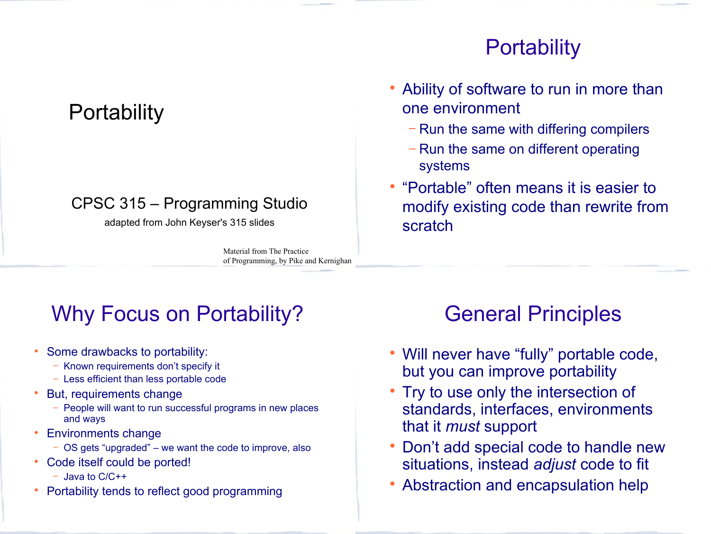## **Portability**

#### CPSC 315 – Programming Studio

adapted from John Keyser's 315 slides

Material from The Practice of Programming, by Pike and Kernighan

# Why Focus on Portability?

- Some drawbacks to portability:
	- − Known requirements don't specify it
	- − Less efficient than less portable code
- But, requirements change
	- − People will want to run successful programs in new places and ways
- Environments change
	- − OS gets "upgraded" we want the code to improve, also
- Code itself could be ported!
	- − Java to C/C++
- Portability tends to reflect good programming

# **Portability**

- Ability of software to run in more than one environment
	- − Run the same with differing compilers
	- − Run the same on different operating systems
- "Portable" often means it is easier to modify existing code than rewrite from scratch

# General Principles

- Will never have "fully" portable code, but you can improve portability
- Try to use only the intersection of standards, interfaces, environments that it *must* support
- Don't add special code to handle new situations, instead *adjust* code to fit
- Abstraction and encapsulation help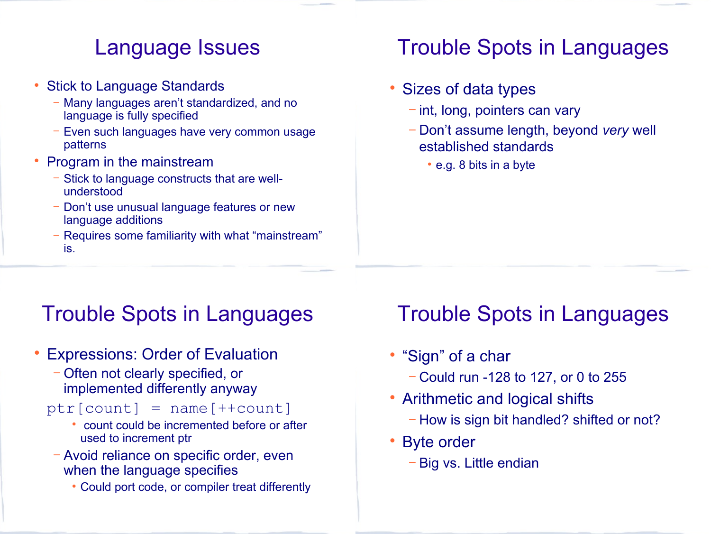### Language Issues

- Stick to Language Standards
	- Many languages aren't standardized, and no language is fully specified
	- Even such languages have very common usage patterns
- Program in the mainstream
	- − Stick to language constructs that are wellunderstood
	- − Don't use unusual language features or new language additions
	- − Requires some familiarity with what "mainstream" is.

### Trouble Spots in Languages

#### Sizes of data types

- − int, long, pointers can vary
- − Don't assume length, beyond *very* well established standards
	- e.g. 8 bits in a byte

# Trouble Spots in Languages

- Expressions: Order of Evaluation
	- − Often not clearly specified, or implemented differently anyway

#### $ptr[count] = name[+count]$

- count could be incremented before or after used to increment ptr
- − Avoid reliance on specific order, even when the language specifies
	- Could port code, or compiler treat differently

### Trouble Spots in Languages

- "Sign" of a char
	- − Could run -128 to 127, or 0 to 255
- Arithmetic and logical shifts
	- − How is sign bit handled? shifted or not?
- Byte order
	- − Big vs. Little endian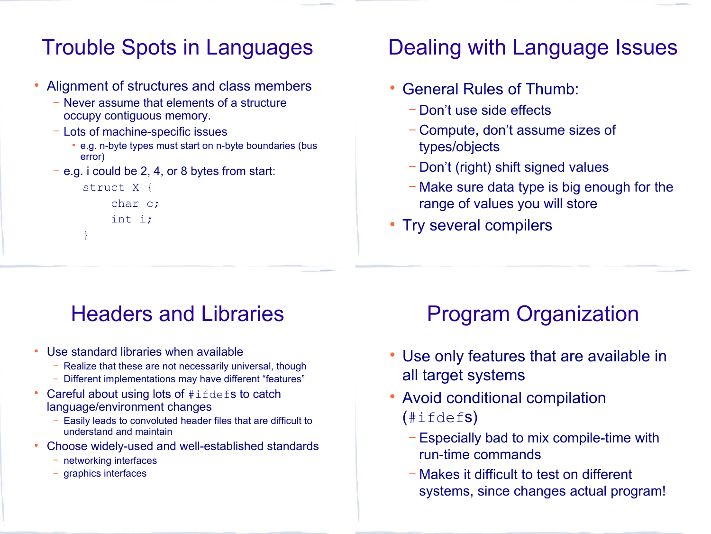## Trouble Spots in Languages

- Alignment of structures and class members
	- − Never assume that elements of a structure occupy contiguous memory.
	- − Lots of machine-specific issues
		- e.g. n-byte types must start on n-byte boundaries (bus error)
	- e.g. i could be 2, 4, or 8 bytes from start:

```
struct X {
     char c;
     int i;
}
```
### Dealing with Language Issues

- General Rules of Thumb:
	- − Don't use side effects
	- − Compute, don't assume sizes of types/objects
	- − Don't (right) shift signed values
	- − Make sure data type is big enough for the range of values you will store
- Try several compilers

## Headers and Libraries

- Use standard libraries when available
	- − Realize that these are not necessarily universal, though
	- − Different implementations may have different "features"
- Careful about using lots of #ifdefs to catch language/environment changes
	- Easily leads to convoluted header files that are difficult to understand and maintain
- Choose widely-used and well-established standards
	- networking interfaces
	- − graphics interfaces

# Program Organization

- Use only features that are available in all target systems
- Avoid conditional compilation  $(\text{\#ifdefs})$ 
	- − Especially bad to mix compile-time with run-time commands
	- − Makes it difficult to test on different systems, since changes actual program!